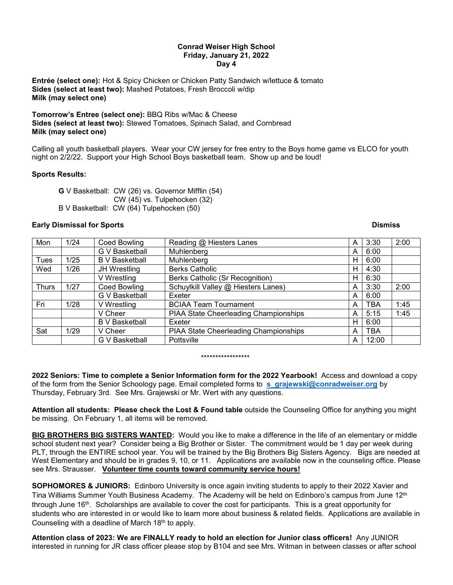## **Conrad Weiser High School Friday, January 21, 2022 Day 4**

**Entrée (select one):** Hot & Spicy Chicken or Chicken Patty Sandwich w/lettuce & tomato **Sides (select at least two):** Mashed Potatoes, Fresh Broccoli w/dip **Milk (may select one)**

**Tomorrow's Entree (select one):** BBQ Ribs w/Mac & Cheese **Sides (select at least two):** Stewed Tomatoes, Spinach Salad, and Cornbread **Milk (may select one)**

Calling all youth basketball players. Wear your CW jersey for free entry to the Boys home game vs ELCO for youth night on 2/2/22. Support your High School Boys basketball team. Show up and be loud!

# **Sports Results:**

**G** V Basketball: CW (26) vs. Governor Mifflin (54) CW (45) vs. Tulpehocken (32) B V Basketball: CW (64) Tulpehocken (50)

## **Early Dismissal for Sports Contract Contract Contract Contract Contract Contract Contract Contract Contract Contract Contract Contract Contract Contract Contract Contract Contract Contract Contract Contract Contract Contr**

| Mon          | 1/24 | <b>Coed Bowling</b>   | Reading @ Hiesters Lanes              | A | 3:30       | 2:00 |
|--------------|------|-----------------------|---------------------------------------|---|------------|------|
|              |      | G V Basketball        | Muhlenberg                            | A | 6:00       |      |
| Tues         | 1/25 | <b>B</b> V Basketball | Muhlenberg                            | H | 6:00       |      |
| Wed          | 1/26 | JH Wrestling          | <b>Berks Catholic</b>                 | H | 4:30       |      |
|              |      | V Wrestling           | Berks Catholic (Sr Recognition)       | H | 6:30       |      |
| <b>Thurs</b> | 1/27 | <b>Coed Bowling</b>   | Schuylkill Valley @ Hiesters Lanes)   | A | 3:30       | 2:00 |
|              |      | <b>G V Basketball</b> | Exeter                                | A | 6:00       |      |
| Fri          | 1/28 | V Wrestling           | <b>BCIAA Team Tournament</b>          | A | TBA        | 1:45 |
|              |      | V Cheer               | PIAA State Cheerleading Championships | A | 5:15       | 1:45 |
|              |      | <b>B</b> V Basketball | Exeter                                | H | 6:00       |      |
| Sat          | 1/29 | V Cheer               | PIAA State Cheerleading Championships | A | <b>TBA</b> |      |
|              |      | G V Basketball        | Pottsville                            | A | 12:00      |      |

#### \*\*\*\*\*\*\*\*\*\*\*\*\*\*\*\*\*

**2022 Seniors: Time to complete a Senior Information form for the 2022 Yearbook!** Access and download a copy of the form from the Senior Schoology page. Email completed forms to **[s\\_grajewski@conradweiser.org](mailto:s_grajewski@conradweiser.org)** by Thursday, February 3rd. See Mrs. Grajewski or Mr. Wert with any questions.

**Attention all students: Please check the Lost & Found table** outside the Counseling Office for anything you might be missing. On February 1, all items will be removed.

**BIG BROTHERS BIG SISTERS WANTED:** Would you like to make a difference in the life of an elementary or middle school student next year? Consider being a Big Brother or Sister. The commitment would be 1 day per week during PLT, through the ENTIRE school year. You will be trained by the Big Brothers Big Sisters Agency. Bigs are needed at West Elementary and should be in grades 9, 10, or 11. Applications are available now in the counseling office. Please see Mrs. Strausser. **Volunteer time counts toward community service hours!**

**SOPHOMORES & JUNIORS:** Edinboro University is once again inviting students to apply to their 2022 Xavier and Tina Williams Summer Youth Business Academy. The Academy will be held on Edinboro's campus from June 12<sup>th</sup> through June 16th. Scholarships are available to cover the cost for participants. This is a great opportunity for students who are interested in or would like to learn more about business & related fields. Applications are available in Counseling with a deadline of March 18th to apply.

**Attention class of 2023: We are FINALLY ready to hold an election for Junior class officers!** Any JUNIOR interested in running for JR class officer please stop by B104 and see Mrs. Witman in between classes or after school